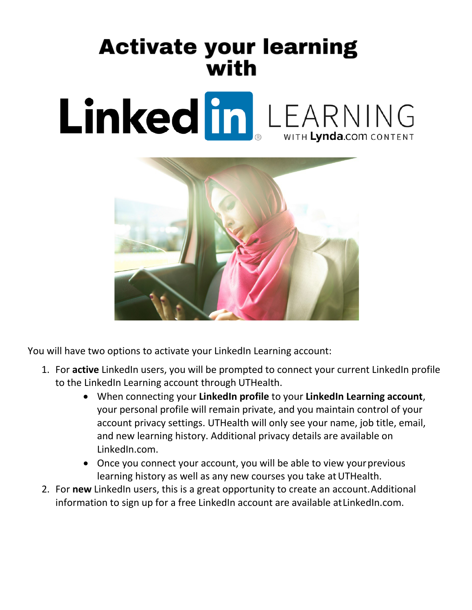## **Activate your learning** with

## Linked in LEARNING



You will have two options to activate your LinkedIn Learning account:

- 1. For **active** LinkedIn users, you will be prompted to connect your current LinkedIn profile to the LinkedIn Learning account through UTHealth.
	- When connecting your **LinkedIn profile** to your **LinkedIn Learning account**, your personal profile will remain private, and you maintain control of your account privacy settings. UTHealth will only see your name, job title, email, and new learning history. Additional privacy details are available on LinkedIn.com.
	- Once you connect your account, you will be able to view your previous learning history as well as any new courses you take at UTHealth.
- 2. For **new** LinkedIn users, this is a great opportunity to create an account.Additional information to sign up for a free LinkedIn account are available atLinkedIn.com.